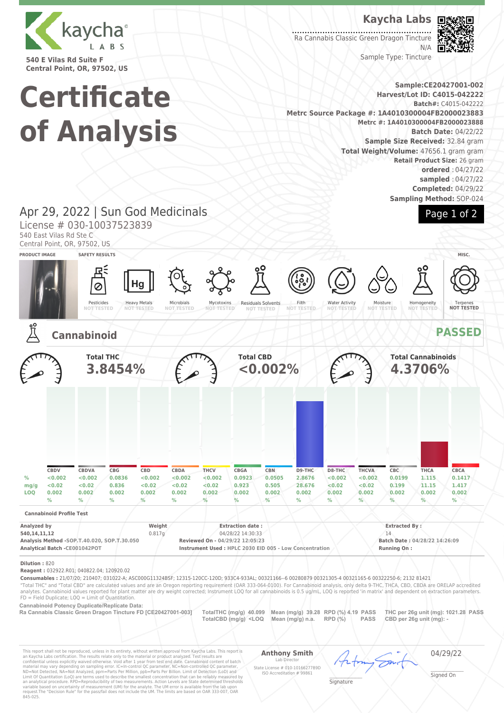

**540 E Vilas Rd Suite F Central Point, OR, 97502, US**

**Certificate**

**of Analysis**

## **Kaycha Labs**

Ra Cannabis Classic Green Dragon Tincture N/A

Sample Type: Tincture

#### **Sample:CE20427001-002 Harvest/Lot ID: C4015-042222 Batch#:** C4015-042222 **Metrc Source Package #: 1A4010300004FB2000023883 Metrc #: 1A4010300004FB2000023888 Batch Date:** 04/22/22 **Sample Size Received:** 32.84 gram **Total Weight/Volume:** 47656.1 gram gram **Retail Product Size:** 26 gram **ordered** : 04/27/22 **sampled** : 04/27/22

# Page 1 of 2

**Completed:** 04/29/22 **Sampling Method:** SOP-024

## Apr 29, 2022 | Sun God Medicinals

License # 030-10037523839

540 East Vilas Rd Ste C

Central Point, OR, 97502, US



**Reagent :** 032922.R01; 040822.04; 120920.02

**Consumables :** 21/07/20; 210407; 031022-A; ASC000G11324BSF; 12315-120CC-120D; 933C4-933AL; 00321166--6 00280879 00321305-4 00321165-6 00322250-6; 2132 81421

"Total THC" and "Total CBD" are calculated values and are an Oregon reporting requirement (OAR 333-064-0100). For Cannabinoid analysis, only delta 9-THC, THCA, CBD, CBDA are ORELAP accredited analytes. Cannabinoid values reported for plant matter are dry weight corrected; Instrument LOQ for all cannabinoids is 0.5 ug/mL, LOQ is reported 'in matrix' and dependent on extraction parameters.  $FD = Field$  Duplicate;  $LOO =$  Limit of Quantitation.

**Cannabinoid Potency Duplicate/Replicate Data:** 

**Ra Cannabis Classic Green Dragon Tincture FD [CE20427001-003] TotalTHC (mg/g) 40.099 Mean (mg/g) 39.28 RPD (%) 4.19 PASS THC per 26g unit (mg): 1021.28 PASS TotalCBD (mg/g) <LOQ Mean (mg/g) n.a. RPD (%) PASS CBD per 26g unit (mg): -** 

This report shall not be reproduced, unless in its entirety, without written approval from Kaycha Labs. This report is<br>an Kaycha Labs certification. The results relate only to the material or product analyzed. Test result

**Anthony Smith**

Lab D

04/29/22

State License # 010-10166277B9D ISO Accreditation # 99861

\_\_\_\_\_\_\_\_\_\_\_\_\_\_\_\_\_\_\_ Signed On